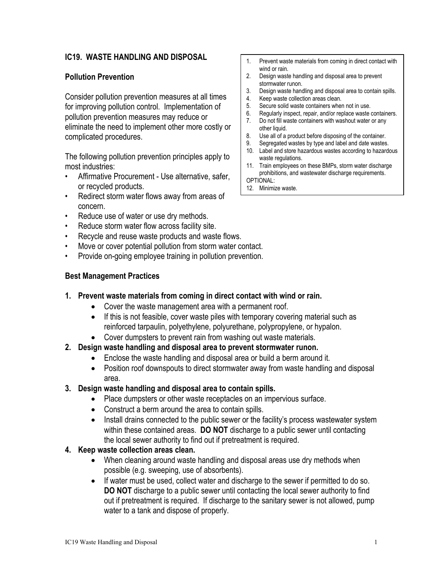## **IC19. WASTE HANDLING AND DISPOSAL**

### **Pollution Prevention**

Consider pollution prevention measures at all times for improving pollution control. Implementation of pollution prevention measures may reduce or eliminate the need to implement other more costly or complicated procedures.

The following pollution prevention principles apply to most industries:

- Affirmative Procurement Use alternative, safer, or recycled products.
- Redirect storm water flows away from areas of concern.
- Reduce use of water or use dry methods.
- Reduce storm water flow across facility site.
- Recycle and reuse waste products and waste flows.
- Move or cover potential pollution from storm water contact.
- Provide on-going employee training in pollution prevention.

### **Best Management Practices**

- **1. Prevent waste materials from coming in direct contact with wind or rain.** 
	- Cover the waste management area with a permanent roof.
	- If this is not feasible, cover waste piles with temporary covering material such as reinforced tarpaulin, polyethylene, polyurethane, polypropylene, or hypalon.
	- Cover dumpsters to prevent rain from washing out waste materials.
- **2. Design waste handling and disposal area to prevent stormwater runon.** 
	- Enclose the waste handling and disposal area or build a berm around it.
	- Position roof downspouts to direct stormwater away from waste handling and disposal area.
- **3. Design waste handling and disposal area to contain spills.**
	- Place dumpsters or other waste receptacles on an impervious surface.
	- Construct a berm around the area to contain spills.
	- Install drains connected to the public sewer or the facility's process wastewater system within these contained areas. **DO NOT** discharge to a public sewer until contacting the local sewer authority to find out if pretreatment is required.

### **4. Keep waste collection areas clean.**

- When cleaning around waste handling and disposal areas use dry methods when possible (e.g. sweeping, use of absorbents).
- If water must be used, collect water and discharge to the sewer if permitted to do so. **DO NOT** discharge to a public sewer until contacting the local sewer authority to find out if pretreatment is required. If discharge to the sanitary sewer is not allowed, pump water to a tank and dispose of properly.
- 1. Prevent waste materials from coming in direct contact with wind or rain.
- 2. Design waste handling and disposal area to prevent stormwater runon.
- 3. Design waste handling and disposal area to contain spills.<br>4. Keep waste collection areas clean.
- 4. Keep waste collection areas clean.<br>5. Secure solid waste containers where
- 5. Secure solid waste containers when not in use.
- 6. Regularly inspect, repair, and/or replace waste containers.<br>7. Do not fill waste containers with washout water or any
- Do not fill waste containers with washout water or any other liquid.
- 8. Use all of a product before disposing of the container.
- 9. Segregated wastes by type and label and date wastes.
- 10. Label and store hazardous wastes according to hazardous waste regulations.
- 11. Train employees on these BMPs, storm water discharge prohibitions, and wastewater discharge requirements. OPTIONAL:

12. Minimize waste.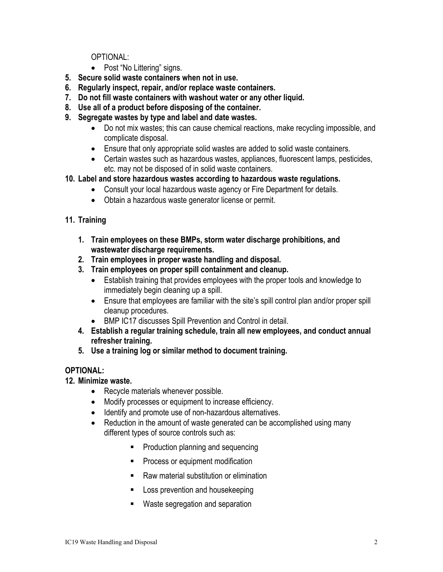OPTIONAL:

- Post "No Littering" signs.
- **5. Secure solid waste containers when not in use.**
- **6. Regularly inspect, repair, and/or replace waste containers.**
- **7. Do not fill waste containers with washout water or any other liquid.**
- **8. Use all of a product before disposing of the container.**
- **9. Segregate wastes by type and label and date wastes.** 
	- Do not mix wastes; this can cause chemical reactions, make recycling impossible, and complicate disposal.
	- Ensure that only appropriate solid wastes are added to solid waste containers.
	- Certain wastes such as hazardous wastes, appliances, fluorescent lamps, pesticides, etc. may not be disposed of in solid waste containers.
- **10. Label and store hazardous wastes according to hazardous waste regulations.** 
	- Consult your local hazardous waste agency or Fire Department for details.
	- Obtain a hazardous waste generator license or permit.

# **11. Training**

- **1. Train employees on these BMPs, storm water discharge prohibitions, and wastewater discharge requirements.**
- **2. Train employees in proper waste handling and disposal.**
- **3. Train employees on proper spill containment and cleanup.** 
	- Establish training that provides employees with the proper tools and knowledge to immediately begin cleaning up a spill.
	- Ensure that employees are familiar with the site's spill control plan and/or proper spill cleanup procedures.
	- BMP IC17 discusses Spill Prevention and Control in detail.
- **4. Establish a regular training schedule, train all new employees, and conduct annual refresher training.**
- **5. Use a training log or similar method to document training.**

# **OPTIONAL:**

## **12. Minimize waste.**

- Recycle materials whenever possible.
- Modify processes or equipment to increase efficiency.
- Identify and promote use of non-hazardous alternatives.
- Reduction in the amount of waste generated can be accomplished using many different types of source controls such as:
	- **Production planning and sequencing**
	- **Process or equipment modification**
	- Raw material substitution or elimination
	- **Loss prevention and housekeeping**
	- **Waste segregation and separation**